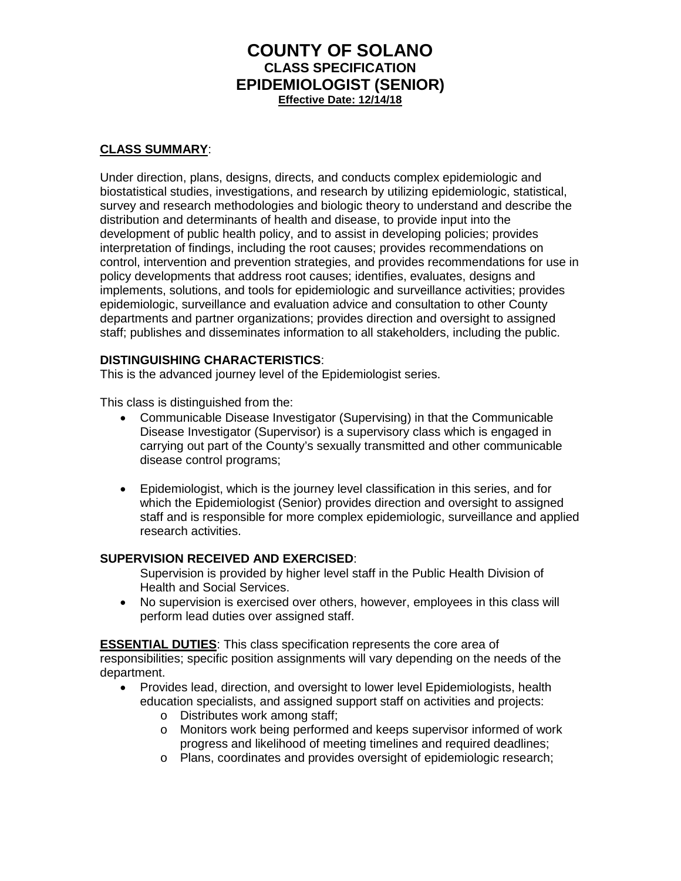# **COUNTY OF SOLANO CLASS SPECIFICATION EPIDEMIOLOGIST (SENIOR) Effective Date: 12/14/18**

#### **CLASS SUMMARY**:

Under direction, plans, designs, directs, and conducts complex epidemiologic and biostatistical studies, investigations, and research by utilizing epidemiologic, statistical, survey and research methodologies and biologic theory to understand and describe the distribution and determinants of health and disease, to provide input into the development of public health policy, and to assist in developing policies; provides interpretation of findings, including the root causes; provides recommendations on control, intervention and prevention strategies, and provides recommendations for use in policy developments that address root causes; identifies, evaluates, designs and implements, solutions, and tools for epidemiologic and surveillance activities; provides epidemiologic, surveillance and evaluation advice and consultation to other County departments and partner organizations; provides direction and oversight to assigned staff; publishes and disseminates information to all stakeholders, including the public.

#### **DISTINGUISHING CHARACTERISTICS**:

This is the advanced journey level of the Epidemiologist series.

This class is distinguished from the:

- Communicable Disease Investigator (Supervising) in that the Communicable Disease Investigator (Supervisor) is a supervisory class which is engaged in carrying out part of the County's sexually transmitted and other communicable disease control programs;
- Epidemiologist, which is the journey level classification in this series, and for which the Epidemiologist (Senior) provides direction and oversight to assigned staff and is responsible for more complex epidemiologic, surveillance and applied research activities.

### **SUPERVISION RECEIVED AND EXERCISED**:

Supervision is provided by higher level staff in the Public Health Division of Health and Social Services.

• No supervision is exercised over others, however, employees in this class will perform lead duties over assigned staff.

**ESSENTIAL DUTIES**: This class specification represents the core area of responsibilities; specific position assignments will vary depending on the needs of the department.

- Provides lead, direction, and oversight to lower level Epidemiologists, health education specialists, and assigned support staff on activities and projects:
	- o Distributes work among staff;
	- o Monitors work being performed and keeps supervisor informed of work progress and likelihood of meeting timelines and required deadlines;
	- o Plans, coordinates and provides oversight of epidemiologic research;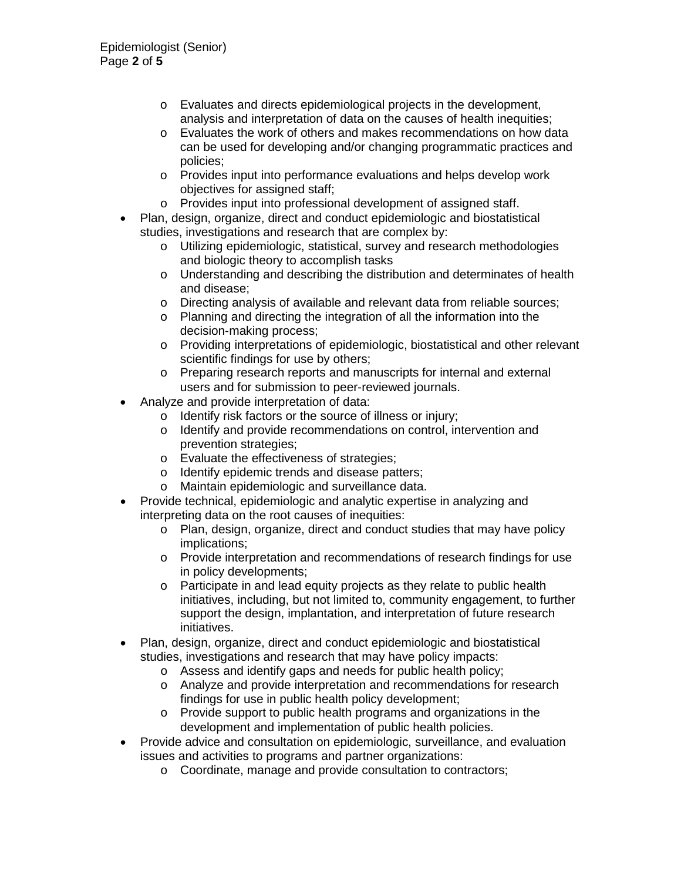- o Evaluates and directs epidemiological projects in the development, analysis and interpretation of data on the causes of health inequities;
- o Evaluates the work of others and makes recommendations on how data can be used for developing and/or changing programmatic practices and policies;
- o Provides input into performance evaluations and helps develop work objectives for assigned staff;
- o Provides input into professional development of assigned staff.
- Plan, design, organize, direct and conduct epidemiologic and biostatistical studies, investigations and research that are complex by:
	- o Utilizing epidemiologic, statistical, survey and research methodologies and biologic theory to accomplish tasks
	- o Understanding and describing the distribution and determinates of health and disease;
	- o Directing analysis of available and relevant data from reliable sources;<br>
	o Planning and directing the integration of all the information into the
	- Planning and directing the integration of all the information into the decision-making process;
	- o Providing interpretations of epidemiologic, biostatistical and other relevant scientific findings for use by others;
	- o Preparing research reports and manuscripts for internal and external users and for submission to peer-reviewed journals.
- Analyze and provide interpretation of data:
	- o Identify risk factors or the source of illness or injury;
	- o Identify and provide recommendations on control, intervention and prevention strategies;
	- o Evaluate the effectiveness of strategies;
	- o Identify epidemic trends and disease patters;<br>o Maintain epidemiologic and surveillance data.
	- Maintain epidemiologic and surveillance data.
- Provide technical, epidemiologic and analytic expertise in analyzing and interpreting data on the root causes of inequities:
	- o Plan, design, organize, direct and conduct studies that may have policy implications;
	- o Provide interpretation and recommendations of research findings for use in policy developments;
	- o Participate in and lead equity projects as they relate to public health initiatives, including, but not limited to, community engagement, to further support the design, implantation, and interpretation of future research initiatives.
- Plan, design, organize, direct and conduct epidemiologic and biostatistical studies, investigations and research that may have policy impacts:
	- o Assess and identify gaps and needs for public health policy;
	- o Analyze and provide interpretation and recommendations for research findings for use in public health policy development;
	- o Provide support to public health programs and organizations in the development and implementation of public health policies.
- Provide advice and consultation on epidemiologic, surveillance, and evaluation issues and activities to programs and partner organizations:
	- o Coordinate, manage and provide consultation to contractors;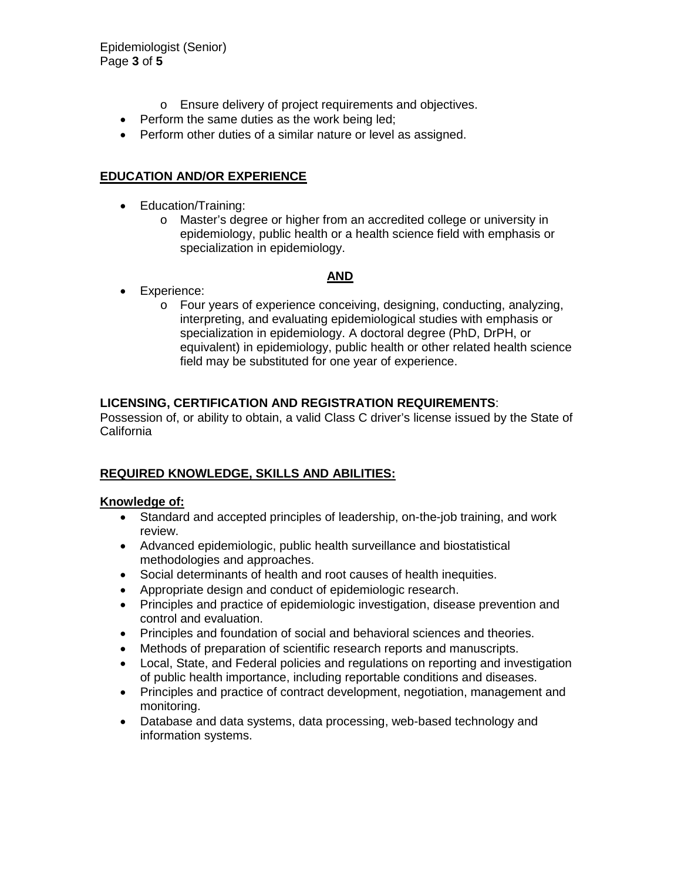- o Ensure delivery of project requirements and objectives.
- Perform the same duties as the work being led;
- Perform other duties of a similar nature or level as assigned.

## **EDUCATION AND/OR EXPERIENCE**

- Education/Training:
	- o Master's degree or higher from an accredited college or university in epidemiology, public health or a health science field with emphasis or specialization in epidemiology.

### **AND**

- Experience:
	- o Four years of experience conceiving, designing, conducting, analyzing, interpreting, and evaluating epidemiological studies with emphasis or specialization in epidemiology. A doctoral degree (PhD, DrPH, or equivalent) in epidemiology, public health or other related health science field may be substituted for one year of experience.

### **LICENSING, CERTIFICATION AND REGISTRATION REQUIREMENTS**:

Possession of, or ability to obtain, a valid Class C driver's license issued by the State of California

## **REQUIRED KNOWLEDGE, SKILLS AND ABILITIES:**

### **Knowledge of:**

- Standard and accepted principles of leadership, on-the-job training, and work review.
- Advanced epidemiologic, public health surveillance and biostatistical methodologies and approaches.
- Social determinants of health and root causes of health inequities.
- Appropriate design and conduct of epidemiologic research.
- Principles and practice of epidemiologic investigation, disease prevention and control and evaluation.
- Principles and foundation of social and behavioral sciences and theories.
- Methods of preparation of scientific research reports and manuscripts.
- Local, State, and Federal policies and regulations on reporting and investigation of public health importance, including reportable conditions and diseases.
- Principles and practice of contract development, negotiation, management and monitoring.
- Database and data systems, data processing, web-based technology and information systems.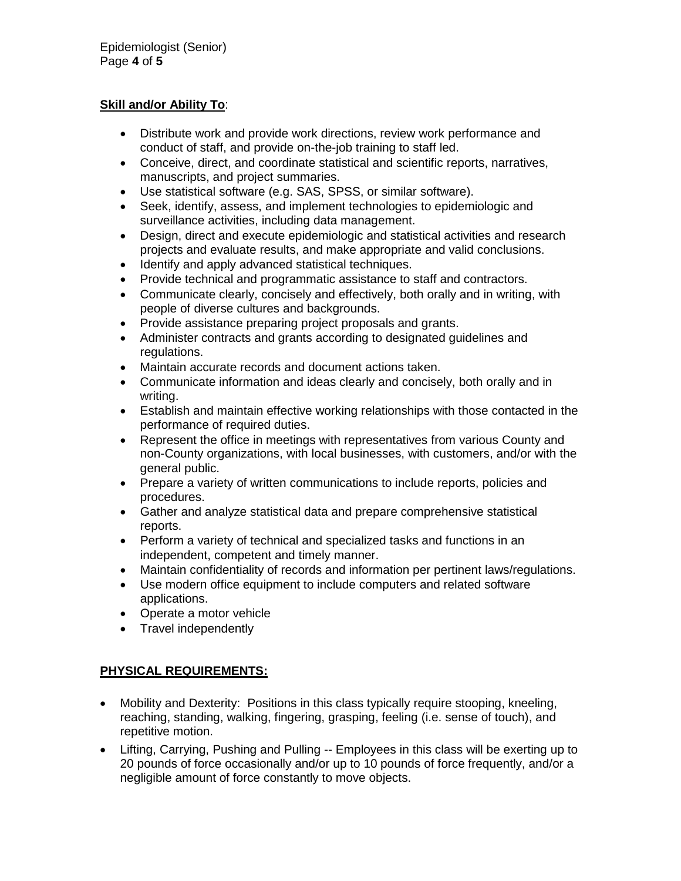### **Skill and/or Ability To**:

- Distribute work and provide work directions, review work performance and conduct of staff, and provide on-the-job training to staff led.
- Conceive, direct, and coordinate statistical and scientific reports, narratives, manuscripts, and project summaries.
- Use statistical software (e.g. SAS, SPSS, or similar software).
- Seek, identify, assess, and implement technologies to epidemiologic and surveillance activities, including data management.
- Design, direct and execute epidemiologic and statistical activities and research projects and evaluate results, and make appropriate and valid conclusions.
- Identify and apply advanced statistical techniques.
- Provide technical and programmatic assistance to staff and contractors.
- Communicate clearly, concisely and effectively, both orally and in writing, with people of diverse cultures and backgrounds.
- Provide assistance preparing project proposals and grants.
- Administer contracts and grants according to designated guidelines and regulations.
- Maintain accurate records and document actions taken.
- Communicate information and ideas clearly and concisely, both orally and in writing.
- Establish and maintain effective working relationships with those contacted in the performance of required duties.
- Represent the office in meetings with representatives from various County and non-County organizations, with local businesses, with customers, and/or with the general public.
- Prepare a variety of written communications to include reports, policies and procedures.
- Gather and analyze statistical data and prepare comprehensive statistical reports.
- Perform a variety of technical and specialized tasks and functions in an independent, competent and timely manner.
- Maintain confidentiality of records and information per pertinent laws/regulations.
- Use modern office equipment to include computers and related software applications.
- Operate a motor vehicle
- Travel independently

## **PHYSICAL REQUIREMENTS:**

- Mobility and Dexterity: Positions in this class typically require stooping, kneeling, reaching, standing, walking, fingering, grasping, feeling (i.e. sense of touch), and repetitive motion.
- Lifting, Carrying, Pushing and Pulling -- Employees in this class will be exerting up to 20 pounds of force occasionally and/or up to 10 pounds of force frequently, and/or a negligible amount of force constantly to move objects.